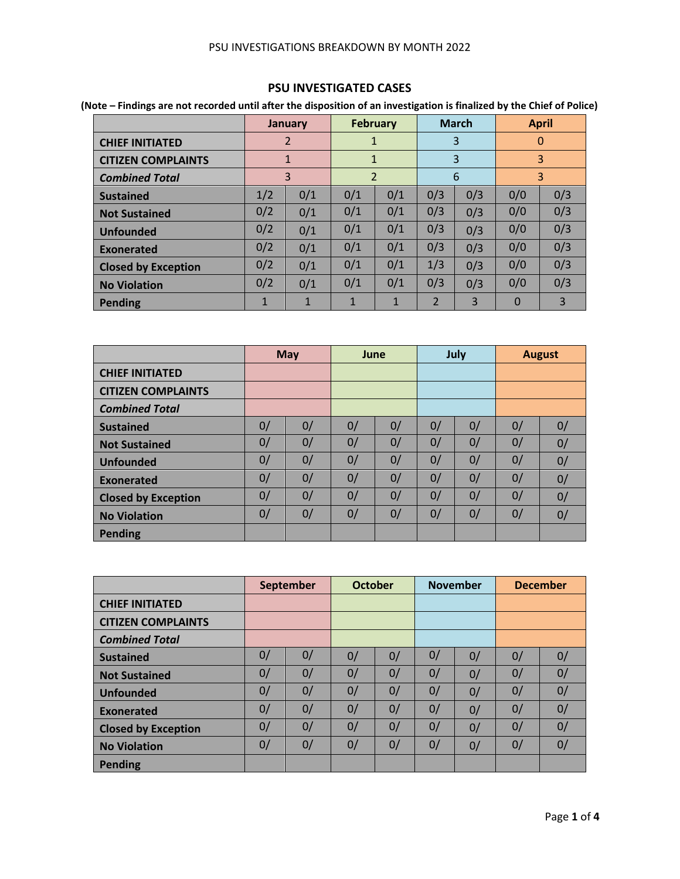#### PSU INVESTIGATIONS BREAKDOWN BY MONTH 2022

## **PSU INVESTIGATED CASES**

**(Note – Findings are not recorded until after the disposition of an investigation is finalized by the Chief of Police)**

|                            |     | January      | <b>February</b> |                |                         | <b>March</b> |     | <b>April</b> |
|----------------------------|-----|--------------|-----------------|----------------|-------------------------|--------------|-----|--------------|
| <b>CHIEF INITIATED</b>     |     | 2            | 1               |                |                         | 3            |     | $\Omega$     |
| <b>CITIZEN COMPLAINTS</b>  |     | $\mathbf{1}$ | $\mathbf{1}$    |                |                         | 3            |     | 3            |
| <b>Combined Total</b>      |     | 3            |                 | $\overline{2}$ |                         | 6            |     | 3            |
| <b>Sustained</b>           | 1/2 | 0/1          | 0/1             | 0/1            | 0/3                     | 0/3          | 0/0 | 0/3          |
| <b>Not Sustained</b>       | 0/2 | 0/1          | 0/1             | 0/1            | 0/3                     | 0/3          | 0/0 | 0/3          |
| <b>Unfounded</b>           | 0/2 | 0/1          | 0/1             | 0/1            | 0/3                     | 0/3          | 0/0 | 0/3          |
| Exonerated                 | 0/2 | 0/1          | 0/1             | 0/1            | 0/3                     | 0/3          | 0/0 | 0/3          |
| <b>Closed by Exception</b> | 0/2 | 0/1          | 0/1             | 0/1            | 1/3                     | 0/3          | 0/0 | 0/3          |
| <b>No Violation</b>        | 0/2 | 0/1          | 0/1             | 0/1            | 0/3                     | 0/3          | 0/0 | 0/3          |
| <b>Pending</b>             | 1   | 1            | $\mathbf{1}$    | 1              | $\overline{\mathbf{z}}$ | 3            | 0   | 3            |

|                            |    | <b>May</b> | June |    |    | July |    | <b>August</b> |
|----------------------------|----|------------|------|----|----|------|----|---------------|
| <b>CHIEF INITIATED</b>     |    |            |      |    |    |      |    |               |
| <b>CITIZEN COMPLAINTS</b>  |    |            |      |    |    |      |    |               |
| <b>Combined Total</b>      |    |            |      |    |    |      |    |               |
| <b>Sustained</b>           | 0/ | 0/         | 0/   | 0/ | 0/ | 0/   | 0/ | 0/            |
| <b>Not Sustained</b>       | 0/ | 0/         | 0/   | 0/ | 0/ | 0/   | 0/ | 0/            |
| <b>Unfounded</b>           | 0/ | 0/         | 0/   | 0/ | 0/ | 0/   | 0/ | 0/            |
| Exonerated                 | 0/ | 0/         | 0/   | 0/ | 0/ | 0/   | 0/ | 0/            |
| <b>Closed by Exception</b> | 0/ | 0/         | 0/   | 0/ | 0/ | 0/   | 0/ | 0/            |
| <b>No Violation</b>        | 0/ | 0/         | 0/   | 0/ | 0/ | 0/   | 0/ | 0/            |
| Pending                    |    |            |      |    |    |      |    |               |

|                            |    | September | <b>October</b> |    |    | <b>November</b> |    | <b>December</b> |
|----------------------------|----|-----------|----------------|----|----|-----------------|----|-----------------|
| <b>CHIEF INITIATED</b>     |    |           |                |    |    |                 |    |                 |
| <b>CITIZEN COMPLAINTS</b>  |    |           |                |    |    |                 |    |                 |
| <b>Combined Total</b>      |    |           |                |    |    |                 |    |                 |
| <b>Sustained</b>           | 0/ | 0/        | 0/             | 0/ | 0/ | 0/              | 0/ | 0/              |
| <b>Not Sustained</b>       | 0/ | 0/        | 0/             | 0/ | 0/ | 0/              | 0/ | 0/              |
| <b>Unfounded</b>           | 0/ | 0/        | 0/             | 0/ | 0/ | 0/              | 0/ | 0/              |
| Exonerated                 | 0/ | 0/        | 0/             | 0/ | 0/ | 0/              | 0/ | 0/              |
| <b>Closed by Exception</b> | 0/ | 0/        | 0/             | 0/ | 0/ | 0/              | 0/ | 0/              |
| <b>No Violation</b>        | 0/ | 0/        | 0/             | 0/ | 0/ | 0/              | 0/ | 0/              |
| <b>Pending</b>             |    |           |                |    |    |                 |    |                 |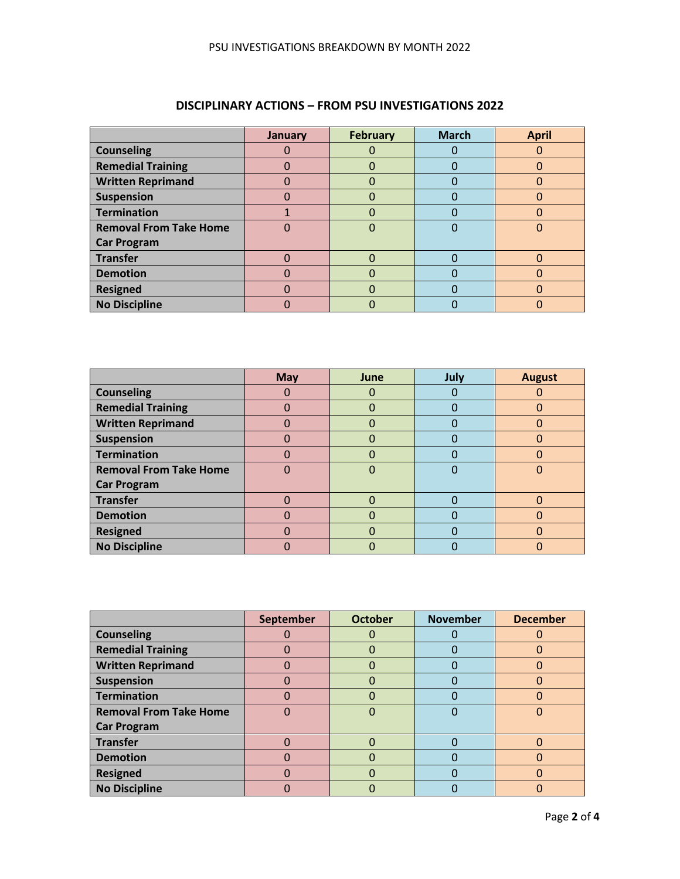|                               | January | <b>February</b> | <b>March</b> | <b>April</b> |
|-------------------------------|---------|-----------------|--------------|--------------|
| <b>Counseling</b>             |         |                 |              |              |
| <b>Remedial Training</b>      |         | 0               |              | 0            |
| <b>Written Reprimand</b>      |         | 0               |              | 0            |
| <b>Suspension</b>             |         |                 |              |              |
| <b>Termination</b>            |         |                 |              |              |
| <b>Removal From Take Home</b> |         |                 |              |              |
| <b>Car Program</b>            |         |                 |              |              |
| <b>Transfer</b>               |         |                 |              |              |
| <b>Demotion</b>               |         |                 |              |              |
| <b>Resigned</b>               |         | ŋ               |              | ሰ            |
| <b>No Discipline</b>          |         |                 |              |              |

## **DISCIPLINARY ACTIONS – FROM PSU INVESTIGATIONS 2022**

|                               | <b>May</b> | June | July | <b>August</b> |
|-------------------------------|------------|------|------|---------------|
| <b>Counseling</b>             |            | O    |      |               |
| <b>Remedial Training</b>      |            | O    |      |               |
| <b>Written Reprimand</b>      |            | O    |      | 0             |
| <b>Suspension</b>             | ი          | 0    |      | 0             |
| <b>Termination</b>            | 0          | 0    |      | 0             |
| <b>Removal From Take Home</b> | 0          | 0    |      | 0             |
| <b>Car Program</b>            |            |      |      |               |
| <b>Transfer</b>               |            | 0    |      | ი             |
| <b>Demotion</b>               |            | 0    |      |               |
| <b>Resigned</b>               | 0          | O    |      | $\Omega$      |
| <b>No Discipline</b>          |            |      |      | Ω             |

|                               | September | <b>October</b> | <b>November</b> | <b>December</b> |
|-------------------------------|-----------|----------------|-----------------|-----------------|
| <b>Counseling</b>             |           |                |                 |                 |
| <b>Remedial Training</b>      | ი         | 0              |                 | 0               |
| <b>Written Reprimand</b>      | 0         | 0              |                 | 0               |
| <b>Suspension</b>             |           | 0              |                 | 0               |
| <b>Termination</b>            |           |                |                 |                 |
| <b>Removal From Take Home</b> |           |                |                 |                 |
| <b>Car Program</b>            |           |                |                 |                 |
| <b>Transfer</b>               |           |                |                 |                 |
| <b>Demotion</b>               |           |                |                 |                 |
| <b>Resigned</b>               | Ω         |                |                 | O               |
| <b>No Discipline</b>          |           |                |                 |                 |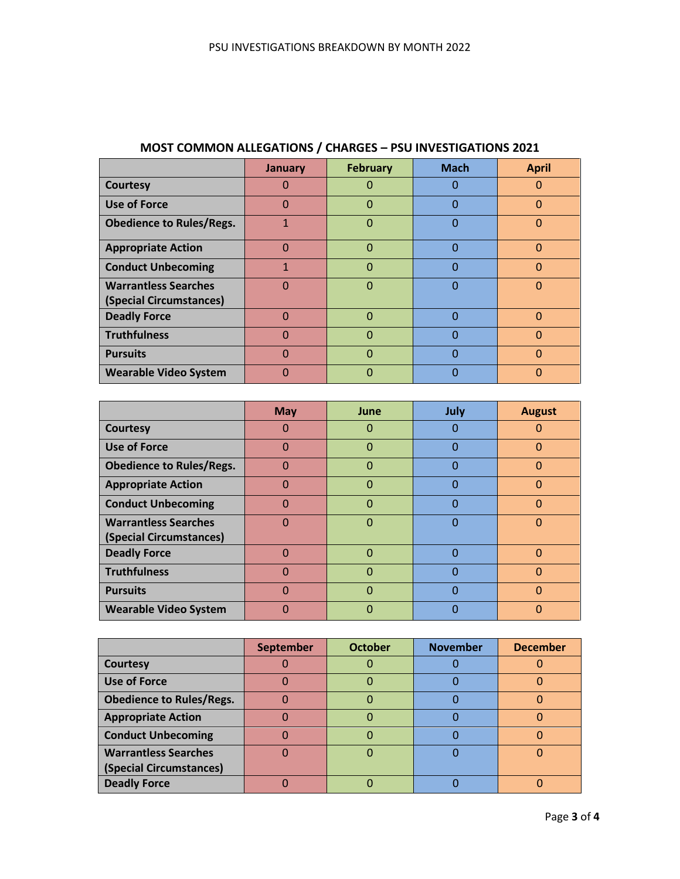|                                 | <b>January</b> | <b>February</b> | <b>Mach</b> | <b>April</b> |
|---------------------------------|----------------|-----------------|-------------|--------------|
| <b>Courtesy</b>                 |                |                 | O           |              |
| <b>Use of Force</b>             | 0              | 0               | 0           | $\mathbf 0$  |
| <b>Obedience to Rules/Regs.</b> |                | ი               | O           | 0            |
| <b>Appropriate Action</b>       | $\Omega$       | ი               | $\Omega$    | O            |
| <b>Conduct Unbecoming</b>       |                | Ω               | Ω           | O            |
| <b>Warrantless Searches</b>     | O              | N               | $\Omega$    | $\Omega$     |
| (Special Circumstances)         |                |                 |             |              |
| <b>Deadly Force</b>             | O              | ი               | O           | $\Omega$     |
| <b>Truthfulness</b>             | 0              | ⋂               | O           | O            |
| <b>Pursuits</b>                 | O              | ⋂               | O           | $\Omega$     |
| <b>Wearable Video System</b>    |                |                 | ი           | Ω            |

# **MOST COMMON ALLEGATIONS / CHARGES – PSU INVESTIGATIONS 2021**

|                                 | <b>May</b> | June | July     | <b>August</b> |
|---------------------------------|------------|------|----------|---------------|
| <b>Courtesy</b>                 | O          | 0    | O        |               |
| <b>Use of Force</b>             | $\Omega$   | ი    | O        | $\Omega$      |
| <b>Obedience to Rules/Regs.</b> | $\Omega$   | 0    | $\Omega$ | 0             |
| <b>Appropriate Action</b>       | $\Omega$   | 0    | Ω        | 0             |
| <b>Conduct Unbecoming</b>       | $\Omega$   | 0    | Ω        | $\Omega$      |
| <b>Warrantless Searches</b>     | $\Omega$   | ი    | 0        | $\Omega$      |
| (Special Circumstances)         |            |      |          |               |
| <b>Deadly Force</b>             | $\Omega$   | በ    | 0        | 0             |
| <b>Truthfulness</b>             | $\Omega$   | 0    | $\Omega$ | $\Omega$      |
| <b>Pursuits</b>                 | $\Omega$   | Ω    | O        | $\Omega$      |
| <b>Wearable Video System</b>    | O          |      |          | O             |

|                                 | <b>September</b> | <b>October</b> | <b>November</b> | <b>December</b> |
|---------------------------------|------------------|----------------|-----------------|-----------------|
| Courtesy                        |                  |                |                 |                 |
| <b>Use of Force</b>             |                  |                |                 |                 |
| <b>Obedience to Rules/Regs.</b> |                  |                |                 |                 |
| <b>Appropriate Action</b>       |                  |                |                 |                 |
| <b>Conduct Unbecoming</b>       |                  |                |                 |                 |
| <b>Warrantless Searches</b>     |                  |                |                 |                 |
| (Special Circumstances)         |                  |                |                 |                 |
| <b>Deadly Force</b>             |                  |                |                 |                 |